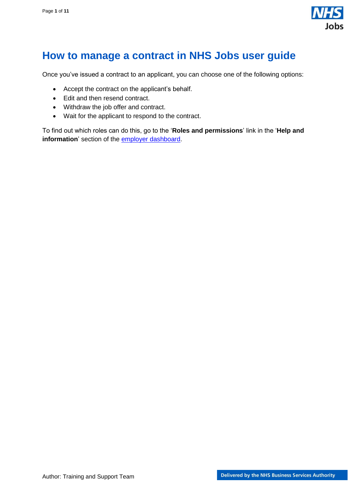

# <span id="page-0-0"></span>**How to manage a contract in NHS Jobs user guide**

Once you've issued a contract to an applicant, you can choose one of the following options:

- Accept the contract on the applicant's behalf.
- Edit and then resend contract.
- Withdraw the job offer and contract.
- Wait for the applicant to respond to the contract.

To find out which roles can do this, go to the '**Roles and permissions**' link in the '**Help and information**' section of the **employer dashboard**.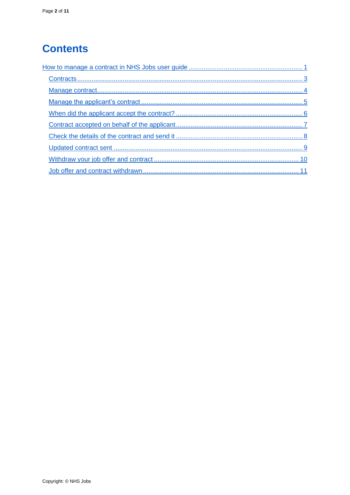# **Contents**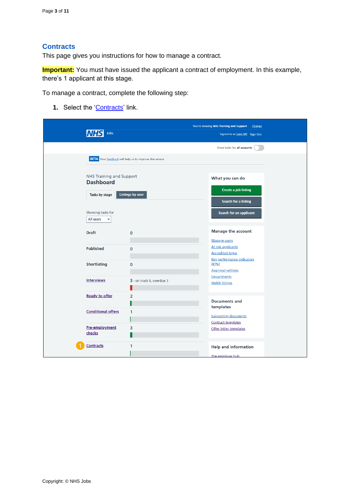## <span id="page-2-0"></span>**Contracts**

This page gives you instructions for how to manage a contract.

**Important:** You must have issued the applicant a contract of employment. In this example, there's 1 applicant at this stage.

To manage a contract, complete the following step:

**1.** Select the ['Contracts'](#page-3-0) link.

| Jobs                                                                  |                                                                 | You're viewing NHS Training and Support Change<br>Signed in as Liam M1 Sign Out |
|-----------------------------------------------------------------------|-----------------------------------------------------------------|---------------------------------------------------------------------------------|
|                                                                       |                                                                 | Show tasks for all accounts                                                     |
|                                                                       | <b>BETA</b> Your feedback will help us to improve this service. |                                                                                 |
| <b>NHS Training and Support</b><br><b>Dashboard</b><br>Tasks by stage | <b>Listings by user</b>                                         | What you can do<br><b>Create a job listing</b><br>Search for a listing          |
| Showing tasks for<br>All users<br>$\check{ }$                         |                                                                 | Search for an applicant                                                         |
| <b>Draft</b>                                                          | $\mathbf 0$                                                     | <b>Manage the account</b>                                                       |
| <b>Published</b>                                                      | 0                                                               | Manage users<br>At risk applicants<br><b>Accredited logos</b>                   |
| <b>Shortlisting</b>                                                   | 0                                                               | <b>Key performance indicators</b><br>(KPIs)<br><b>Approval settings</b>         |
| <b>Interviews</b>                                                     | 3 - on track 0, overdue 3                                       | Departments<br><b>Welsh listings</b>                                            |
| <b>Ready to offer</b>                                                 | 2                                                               | <b>Documents and</b><br>templates                                               |
| <b>Conditional offers</b>                                             | 1                                                               | <b>Supporting documents</b><br>Contract templates                               |
| Pre-employment<br>checks                                              | 3                                                               | Offer letter templates                                                          |
| <b>Contracts</b>                                                      | 1                                                               | <b>Help and information</b><br>The employer hub                                 |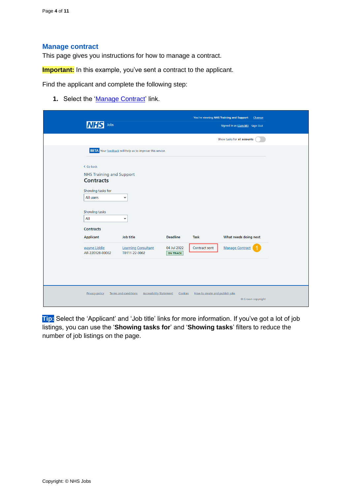#### <span id="page-3-0"></span>**Manage contract**

This page gives you instructions for how to manage a contract.

**Important:** In this example, you've sent a contract to the applicant.

Find the applicant and complete the following step:

**1.** Select the 'Manage [Contract'](#page-4-1) link.

| Jobs                                                                                                                                                                                                  |                                                                                               |                                                   |                                | You're viewing NHS Training and Support<br>Change<br>Signed in as Liam M1 Sign Out |  |
|-------------------------------------------------------------------------------------------------------------------------------------------------------------------------------------------------------|-----------------------------------------------------------------------------------------------|---------------------------------------------------|--------------------------------|------------------------------------------------------------------------------------|--|
|                                                                                                                                                                                                       |                                                                                               |                                                   |                                | Show tasks for all accounts                                                        |  |
|                                                                                                                                                                                                       | <b>BETA</b> Your feedback will help us to improve this service.                               |                                                   |                                |                                                                                    |  |
| < Go back<br><b>NHS Training and Support</b><br><b>Contracts</b><br>Showing tasks for<br>All users<br>Showing tasks<br>All<br><b>Contracts</b><br><b>Applicant</b><br>wayne Liddle<br>AR-220128-00002 | $\check{ }$<br>$\check{~}$<br><b>Job title</b><br><b>Learning Consultant</b><br>T0111-22-0002 | <b>Deadline</b><br>04 Jul 2022<br><b>ON TRACK</b> | <b>Task</b><br>Contract sent   | What needs doing next<br><b>Manage Contract</b>                                    |  |
| <b>Privacy policy</b>                                                                                                                                                                                 | <b>Terms and conditions</b><br><b>Accessibility Statement</b>                                 | Cookies                                           | How to create and publish jobs | © Crown copyright                                                                  |  |

**Tip:** Select the 'Applicant' and 'Job title' links for more information. If you've got a lot of job listings, you can use the '**Showing tasks for**' and '**Showing tasks**' filters to reduce the number of job listings on the page.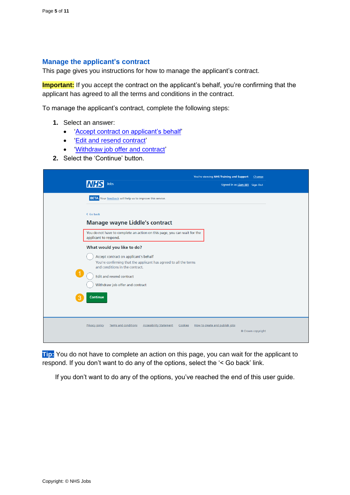#### <span id="page-4-1"></span><span id="page-4-0"></span>**Manage the applicant's contract**

This page gives you instructions for how to manage the applicant's contract.

**Important:** If you accept the contract on the applicant's behalf, you're confirming that the applicant has agreed to all the terms and conditions in the contract.

To manage the applicant's contract, complete the following steps:

- **1.** Select an answer:
	- ['Accept contract on applicant's behalf'](#page-5-0)
	- ['Edit and resend contract'](#page-7-0)
	- ['Withdraw job offer and contract'](#page-9-0)
- **2.** Select the 'Continue' button.

| Jobs                                                                                                                                                                                                                                                              | You're viewing NHS Training and Support<br>Change<br>Signed in as Liam M1 Sign Out |
|-------------------------------------------------------------------------------------------------------------------------------------------------------------------------------------------------------------------------------------------------------------------|------------------------------------------------------------------------------------|
| <b>BETA</b> Your feedback will help us to improve this service.                                                                                                                                                                                                   |                                                                                    |
| < Go back<br><b>Manage wayne Liddle's contract</b>                                                                                                                                                                                                                |                                                                                    |
| You do not have to complete an action on this page, you can wait for the<br>applicant to respond.                                                                                                                                                                 |                                                                                    |
| What would you like to do?<br>Accept contract on applicant's behalf<br>You're confirming that the applicant has agreed to all the terms<br>and conditions in the contract.<br>Edit and resend contract<br>Withdraw job offer and contract<br><b>Continue</b><br>З |                                                                                    |
| <b>Accessibility Statement</b><br><b>Privacy policy</b><br><b>Terms and conditions</b><br>Cookies                                                                                                                                                                 | How to create and publish jobs<br>© Crown copyright                                |

**Tip:** You do not have to complete an action on this page, you can wait for the applicant to respond. If you don't want to do any of the options, select the '< Go back' link.

If you don't want to do any of the options, you've reached the end of this user guide.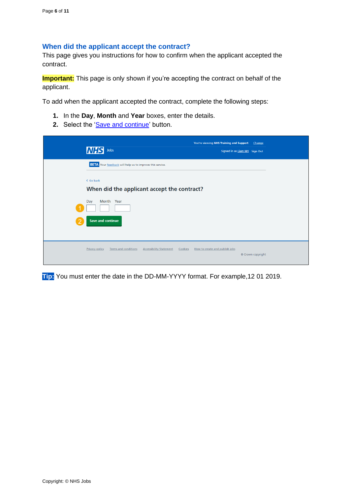#### <span id="page-5-0"></span>**When did the applicant accept the contract?**

This page gives you instructions for how to confirm when the applicant accepted the contract.

**Important:** This page is only shown if you're accepting the contract on behalf of the applicant.

To add when the applicant accepted the contract, complete the following steps:

- **1.** In the **Day**, **Month** and **Year** boxes, enter the details.
- **2.** Select the ['Save and continue'](#page-6-0) button.

|   | <b>NHS</b><br>Jobs                                                                                | You're viewing NHS Training and Support<br>Signed in as Liam M1 Sign Out | Change            |
|---|---------------------------------------------------------------------------------------------------|--------------------------------------------------------------------------|-------------------|
|   | <b>BETA</b> Your feedback will help us to improve this service.                                   |                                                                          |                   |
|   | < Go back<br>When did the applicant accept the contract?                                          |                                                                          |                   |
| 2 | Month Year<br>Day<br><b>Save and continue</b>                                                     |                                                                          |                   |
|   | <b>Terms and conditions</b><br><b>Accessibility Statement</b><br><b>Privacy policy</b><br>Cookies | How to create and publish jobs                                           | © Crown copyright |

**Tip:** You must enter the date in the DD-MM-YYYY format. For example,12 01 2019.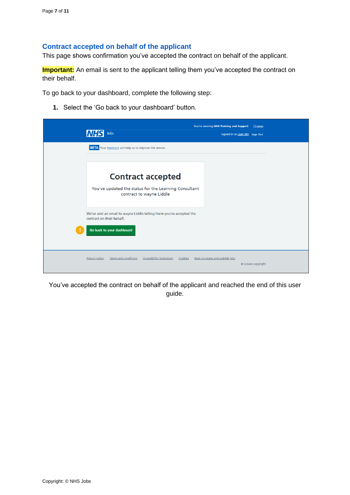## <span id="page-6-0"></span>**Contract accepted on behalf of the applicant**

This page shows confirmation you've accepted the contract on behalf of the applicant.

**Important:** An email is sent to the applicant telling them you've accepted the contract on their behalf.

To go back to your dashboard, complete the following step:

**1.** Select the 'Go back to your dashboard' button.

|                                                                                                   | You're viewing NHS Training and Support<br>Change           |
|---------------------------------------------------------------------------------------------------|-------------------------------------------------------------|
| Jobs<br>IN F                                                                                      | Signed in as Liam M1 Sign Out                               |
| <b>BETA</b> Your feedback will help us to improve this service.                                   |                                                             |
|                                                                                                   |                                                             |
| <b>Contract accepted</b>                                                                          |                                                             |
| You've updated the status for the Learning Consultant<br>contract to wayne Liddle                 |                                                             |
| We've sent an email to wayne Liddle telling them you've accepted the<br>contract on their behalf. |                                                             |
| Go back to your dashboard                                                                         |                                                             |
| <b>Privacy policy</b><br><b>Terms and conditions</b><br><b>Accessibility Statement</b>            | Cookies How to create and publish jobs<br>© Crown copyright |

You've accepted the contract on behalf of the applicant and reached the end of this user guide.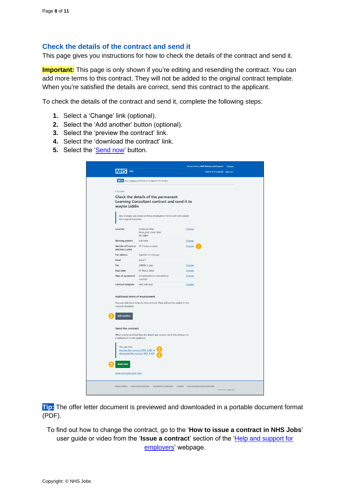## <span id="page-7-0"></span>**Check the details of the contract and send it**

This page gives you instructions for how to check the details of the contract and send it.

**Important:** This page is only shown if you're editing and resending the contract. You can add more terms to this contract. They will not be added to the original contract template. When you're satisfied the details are correct, send this contract to the applicant.

To check the details of the contract and send it, complete the following steps:

- **1.** Select a 'Change' link (optional).
- **2.** Select the 'Add another' button (optional).
- **3.** Select the 'preview the contract' link.
- **4.** Select the 'download the contract' link.
- **5.** Select the '**Send now'** button.

|                                                                                            |                                                                           |                                | You're viewing NHS Training and Support | Change          |
|--------------------------------------------------------------------------------------------|---------------------------------------------------------------------------|--------------------------------|-----------------------------------------|-----------------|
| Jobs                                                                                       |                                                                           |                                | Signed in as Liam M1 Sign Out           |                 |
|                                                                                            | <b>BETA</b> Your feedback will help us to improve this service.           |                                |                                         |                 |
| < Go back                                                                                  |                                                                           |                                |                                         |                 |
|                                                                                            | Check the details of the permanent                                        |                                |                                         |                 |
|                                                                                            | Learning Consultant contract and send it to                               |                                |                                         |                 |
| wayne Liddle                                                                               |                                                                           |                                |                                         |                 |
| the original template.                                                                     | Any changes you make to these employment terms will not update            |                                |                                         |                 |
| Location                                                                                   | <b>Goldcrest Way</b><br>Newcastle Upon Tyne<br>NE158NY                    | Change                         |                                         |                 |
| <b>Working pattern</b>                                                                     | Full-time                                                                 | Change                         |                                         |                 |
| Number of hours or<br>sessions a week                                                      | 37.5 hours a week                                                         | Change                         |                                         |                 |
| Pay scheme                                                                                 | Agenda for Change                                                         |                                |                                         |                 |
| <b>Band</b>                                                                                | Band 7                                                                    |                                |                                         |                 |
| Pay                                                                                        | £40000 a year                                                             | Change                         |                                         |                 |
| <b>Start date</b>                                                                          | 01 March 2022                                                             | Change                         |                                         |                 |
| Type of agreement                                                                          | An addendum to an existing<br>contract                                    | Change                         |                                         |                 |
| <b>Contract template</b>                                                                   | NHS Jobs test                                                             | Change                         |                                         |                 |
| Additional terms of employment<br>original template.<br><b>Add another</b>                 | You can add more terms to this contract. They will not be added to the    |                                |                                         |                 |
| Send the contract                                                                          |                                                                           |                                |                                         |                 |
| employment to the applicant.                                                               | When you're satisfied that the details are correct, send this contract of |                                |                                         |                 |
| You can also:<br>preview the contract (PDF, 4 KB) or<br>download the contract (PDF, 4 KB). |                                                                           |                                |                                         |                 |
| <b>Send now</b>                                                                            |                                                                           |                                |                                         |                 |
| Save and come back later                                                                   |                                                                           |                                |                                         |                 |
| Privacy policy                                                                             | Terms and conditions Accessibility Statement Cookies                      | How to create and publish jobs |                                         | Crown copyright |

**Tip:** The offer letter document is previewed and downloaded in a portable document format (PDF).

To find out how to change the contract, go to the '**How to issue a contract in NHS Jobs**' user guide or video from the '**Issue a contract**' section of the ['Help and support for](https://www.nhsbsa.nhs.uk/new-nhs-jobs-service/help-and-support-employers)  [employers'](https://www.nhsbsa.nhs.uk/new-nhs-jobs-service/help-and-support-employers) webpage.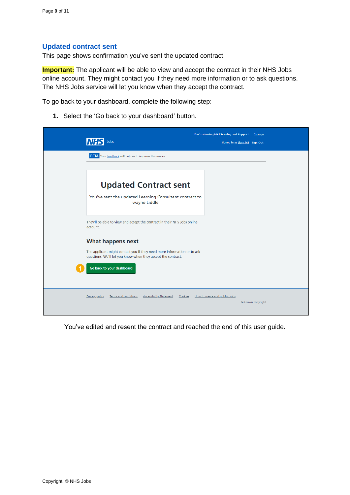#### <span id="page-8-0"></span>**Updated contract sent**

This page shows confirmation you've sent the updated contract.

**Important:** The applicant will be able to view and accept the contract in their NHS Jobs online account. They might contact you if they need more information or to ask questions. The NHS Jobs service will let you know when they accept the contract.

To go back to your dashboard, complete the following step:

**1.** Select the 'Go back to your dashboard' button.

|                                                                                                                                         | You're viewing NHS Training and Support<br>Change   |
|-----------------------------------------------------------------------------------------------------------------------------------------|-----------------------------------------------------|
| Jobs                                                                                                                                    | Signed in as Liam M1 Sign Out                       |
| <b>BETA</b> Your feedback will help us to improve this service.                                                                         |                                                     |
|                                                                                                                                         |                                                     |
| <b>Updated Contract sent</b>                                                                                                            |                                                     |
| You've sent the updated Learning Consultant contract to<br>wayne Liddle                                                                 |                                                     |
| They'll be able to view and accept the contract in their NHS Jobs online<br>account.                                                    |                                                     |
| <b>What happens next</b>                                                                                                                |                                                     |
| The applicant might contact you if they need more information or to ask<br>questions. We'll let you know when they accept the contract. |                                                     |
| Go back to your dashboard                                                                                                               |                                                     |
| <b>Terms and conditions</b><br><b>Accessibility Statement</b><br><b>Privacy policy</b><br>Cookies                                       | How to create and publish jobs<br>© Crown copyright |

You've edited and resent the contract and reached the end of this user guide.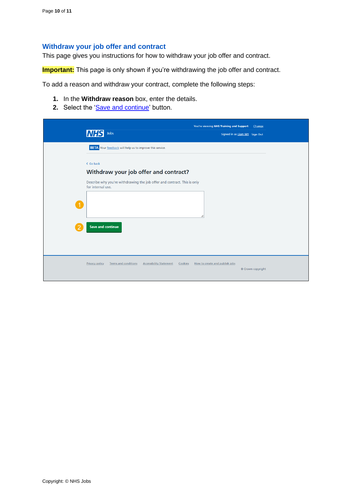# <span id="page-9-0"></span>**Withdraw your job offer and contract**

This page gives you instructions for how to withdraw your job offer and contract.

**Important:** This page is only shown if you're withdrawing the job offer and contract.

To add a reason and withdraw your contract, complete the following steps:

- **1.** In the **Withdraw reason** box, enter the details.
- 2. Select the ['Save and continue'](#page-10-0) button.

| <b>NHS</b>            | Jobs                                                                                          | You're viewing NHS Training and Support<br>Signed in as Liam M1 Sign Out | Change            |
|-----------------------|-----------------------------------------------------------------------------------------------|--------------------------------------------------------------------------|-------------------|
|                       | <b>BETA</b> Your feedback will help us to improve this service.                               |                                                                          |                   |
| < Go back             |                                                                                               |                                                                          |                   |
|                       | Withdraw your job offer and contract?                                                         |                                                                          |                   |
|                       | Describe why you're withdrawing the job offer and contract. This is only<br>for internal use. |                                                                          |                   |
| -1                    |                                                                                               |                                                                          |                   |
|                       |                                                                                               | h                                                                        |                   |
|                       | <b>Save and continue</b>                                                                      |                                                                          |                   |
|                       |                                                                                               |                                                                          |                   |
|                       |                                                                                               |                                                                          |                   |
| <b>Privacy policy</b> | <b>Terms and conditions</b><br><b>Accessibility Statement</b>                                 | How to create and publish jobs<br>Cookies                                |                   |
|                       |                                                                                               |                                                                          | © Crown copyright |